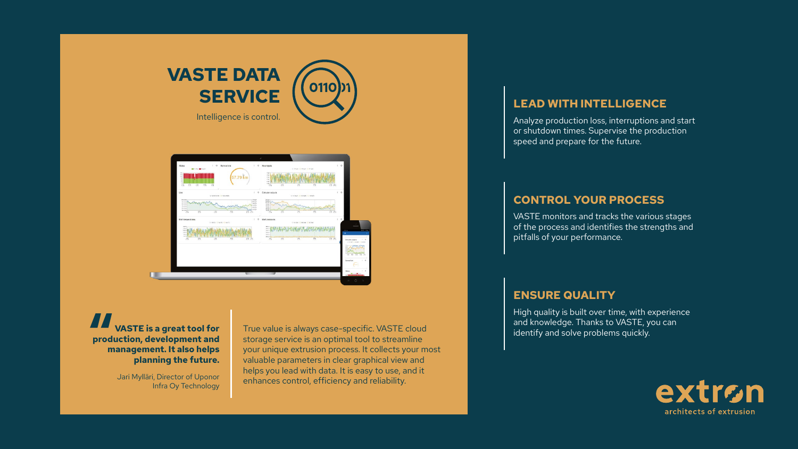# **LEAD WITH INTELLIGENCE**

Analyze production loss, interruptions and start or shutdown times. Supervise the production speed and prepare for the future.

## **CONTROL YOUR PROCESS**

VASTE monitors and tracks the various stages of the process and identifies the strengths and pitfalls of your performance.

## **ENSURE QUALITY**



High quality is built over time, with experience and knowledge. Thanks to VASTE, you can

True value is always case-specific. VASTE cloud<br>identify and solve problems quickly. storage service is an optimal tool to streamline your unique extrusion process. It collects your most valuable parameters in clear graphical view and helps you lead with data. It is easy to use, and it enhances control, efficiency and reliability.

#### **VASTE is a great tool for production, development and management. It also helps planning the future. 11**<br>Prod<br>n





Jari Mylläri, Director of Uponor Infra Oy Technology